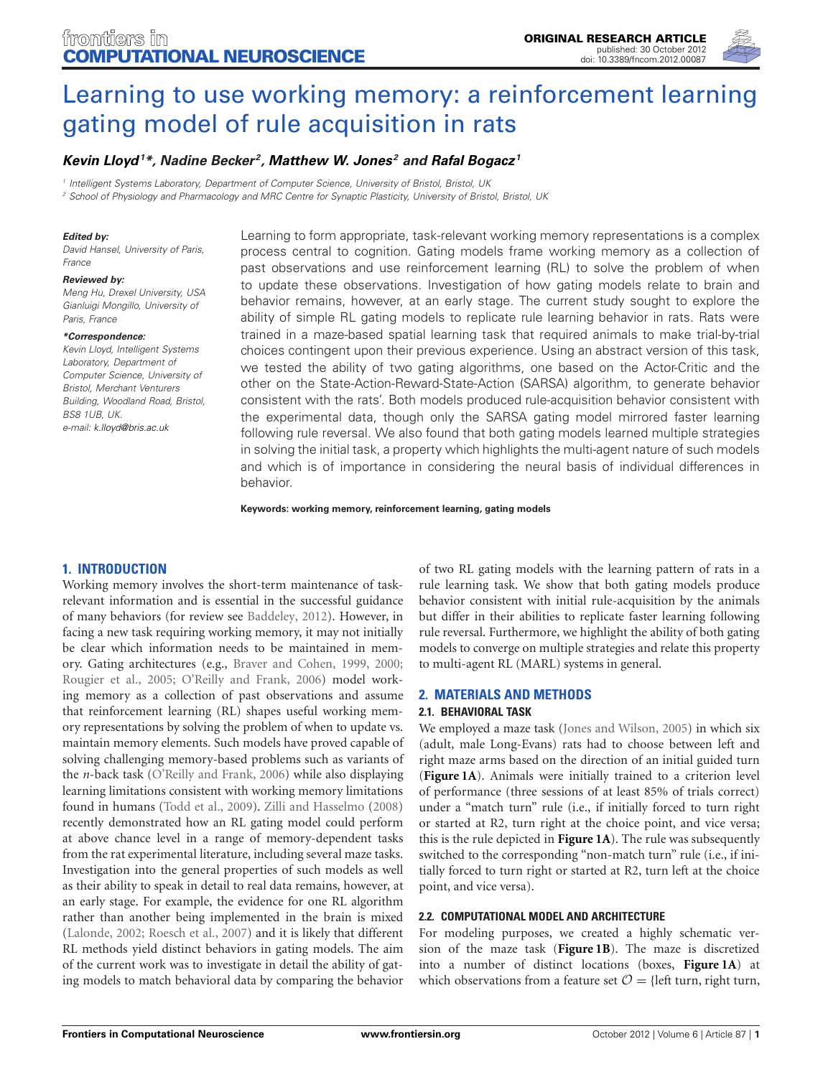

# [Learning to use working memory: a reinforcement learning](http://www.frontiersin.org/Computational_Neuroscience/10.3389/fncom.2012.00087/abstract) gating model of rule acquisition in rats

# *[Kevin Lloyd](http://www.frontiersin.org/Community/WhosWhoActivity.aspx?sname=KevinLloyd&UID=61132)1 \*, Nadine Becker 2, [Matthew W. Jones](http://www.frontiersin.org/Community/WhosWhoActivity.aspx?sname=MatthewJones&UID=573) <sup>2</sup> and [Rafal Bogacz](http://www.frontiersin.org/Community/WhosWhoActivity.aspx?sname=RafalBogacz&UID=12435) <sup>1</sup>*

*<sup>1</sup> Intelligent Systems Laboratory, Department of Computer Science, University of Bristol, Bristol, UK*

*<sup>2</sup> School of Physiology and Pharmacology and MRC Centre for Synaptic Plasticity, University of Bristol, Bristol, UK*

#### *Edited by:*

*David Hansel, University of Paris, France*

#### *Reviewed by:*

*Meng Hu, Drexel University, USA Gianluigi Mongillo, University of Paris, France*

#### *\*Correspondence:*

*Kevin Lloyd, Intelligent Systems Laboratory, Department of Computer Science, University of Bristol, Merchant Venturers Building, Woodland Road, Bristol, BS8 1UB, UK. e-mail: [k.lloyd@bris.ac.uk](mailto:k.lloyd@bris.ac.uk)*

Learning to form appropriate, task-relevant working memory representations is a complex process central to cognition. Gating models frame working memory as a collection of past observations and use reinforcement learning (RL) to solve the problem of when to update these observations. Investigation of how gating models relate to brain and behavior remains, however, at an early stage. The current study sought to explore the ability of simple RL gating models to replicate rule learning behavior in rats. Rats were trained in a maze-based spatial learning task that required animals to make trial-by-trial choices contingent upon their previous experience. Using an abstract version of this task, we tested the ability of two gating algorithms, one based on the Actor-Critic and the other on the State-Action-Reward-State-Action (SARSA) algorithm, to generate behavior consistent with the rats'. Both models produced rule-acquisition behavior consistent with the experimental data, though only the SARSA gating model mirrored faster learning following rule reversal. We also found that both gating models learned multiple strategies in solving the initial task, a property which highlights the multi-agent nature of such models and which is of importance in considering the neural basis of individual differences in behavior.

**Keywords: working memory, reinforcement learning, gating models**

# **1. INTRODUCTION**

Working memory involves the short-term maintenance of taskrelevant information and is essential in the successful guidance of many behaviors (for review see [Baddeley](#page-9-0), [2012\)](#page-9-0). However, in facing a new task requiring working memory, it may not initially be clear which information needs to be maintained in memory. Gating architectures (e.g., [Braver and Cohen, 1999](#page-9-1), [2000;](#page-9-2) [Rougier et al., 2005;](#page-9-3) [O'Reilly and Frank, 2006](#page-9-4)) model working memory as a collection of past observations and assume that reinforcement learning (RL) shapes useful working memory representations by solving the problem of when to update vs. maintain memory elements. Such models have proved capable of solving challenging memory-based problems such as variants of the *n*-back task [\(O'Reilly and Frank, 2006](#page-9-4)) while also displaying learning limitations consistent with working memory limitations found in humans [\(Todd et al.](#page-9-5), [2009\)](#page-9-5). [Zilli and Hasselmo](#page-9-6) [\(2008](#page-9-6)) recently demonstrated how an RL gating model could perform at above chance level in a range of memory-dependent tasks from the rat experimental literature, including several maze tasks. Investigation into the general properties of such models as well as their ability to speak in detail to real data remains, however, at an early stage. For example, the evidence for one RL algorithm rather than another being implemented in the brain is mixed [\(Lalonde](#page-9-7), [2002;](#page-9-7) [Roesch et al., 2007\)](#page-9-8) and it is likely that different RL methods yield distinct behaviors in gating models. The aim of the current work was to investigate in detail the ability of gating models to match behavioral data by comparing the behavior

of two RL gating models with the learning pattern of rats in a rule learning task. We show that both gating models produce behavior consistent with initial rule-acquisition by the animals but differ in their abilities to replicate faster learning following rule reversal. Furthermore, we highlight the ability of both gating models to converge on multiple strategies and relate this property to multi-agent RL (MARL) systems in general.

#### **2. MATERIALS AND METHODS**

#### **2.1. BEHAVIORAL TASK**

We employed a maze task [\(Jones and Wilson](#page-9-9), [2005\)](#page-9-9) in which six (adult, male Long-Evans) rats had to choose between left and right maze arms based on the direction of an initial guided turn (**[Figure 1A](#page-1-0)**). Animals were initially trained to a criterion level of performance (three sessions of at least 85% of trials correct) under a "match turn" rule (i.e., if initially forced to turn right or started at R2, turn right at the choice point, and vice versa; this is the rule depicted in **[Figure 1A](#page-1-0)**). The rule was subsequently switched to the corresponding "non-match turn" rule (i.e., if initially forced to turn right or started at R2, turn left at the choice point, and vice versa).

## **2.2. COMPUTATIONAL MODEL AND ARCHITECTURE**

For modeling purposes, we created a highly schematic version of the maze task (**[Figure 1B](#page-1-0)**). The maze is discretized into a number of distinct locations (boxes, **[Figure 1A](#page-1-0)**) at which observations from a feature set  $\mathcal{O} = \{ \text{left turn, right turn,} \}$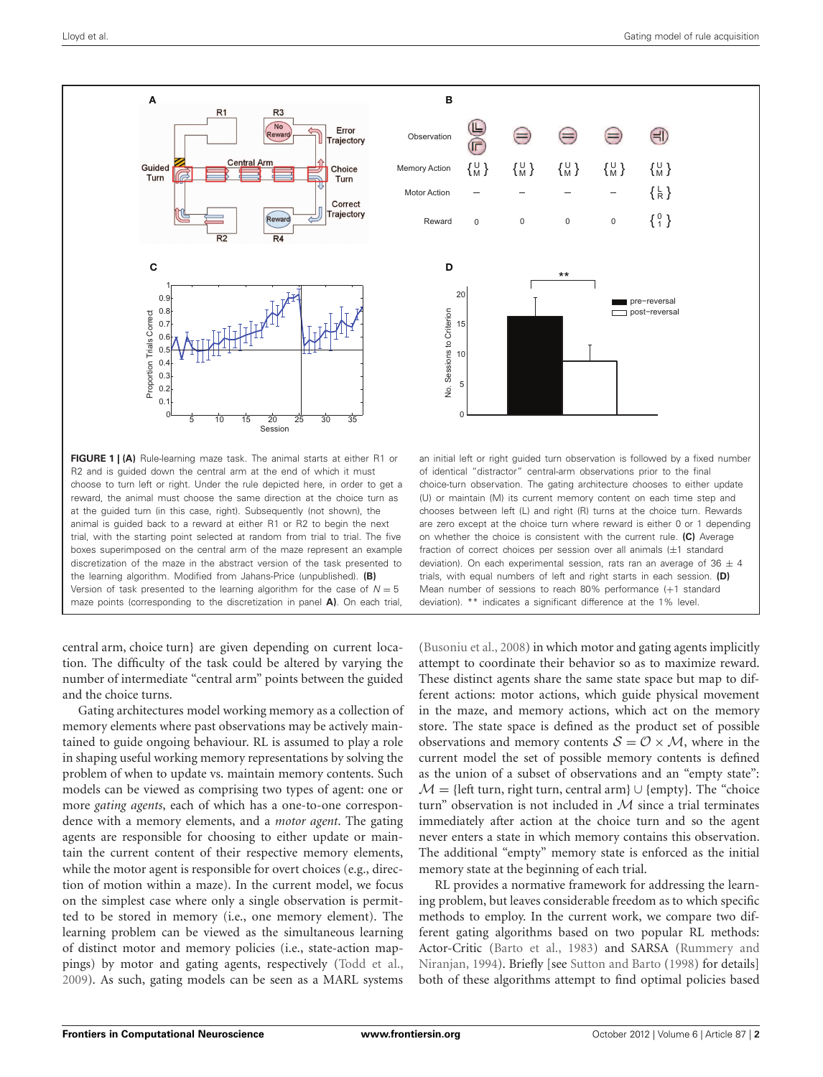

<span id="page-1-0"></span>**FIGURE 1 | (A)** Rule-learning maze task. The animal starts at either R1 or R2 and is guided down the central arm at the end of which it must choose to turn left or right. Under the rule depicted here, in order to get a reward, the animal must choose the same direction at the choice turn as at the guided turn (in this case, right). Subsequently (not shown), the animal is guided back to a reward at either R1 or R2 to begin the next trial, with the starting point selected at random from trial to trial. The five boxes superimposed on the central arm of the maze represent an example discretization of the maze in the abstract version of the task presented to the learning algorithm. Modified from Jahans-Price (unpublished). **(B)** Version of task presented to the learning algorithm for the case of  $N = 5$ maze points (corresponding to the discretization in panel **A)**. On each trial,

central arm, choice turn} are given depending on current location. The difficulty of the task could be altered by varying the number of intermediate "central arm" points between the guided and the choice turns.

Gating architectures model working memory as a collection of memory elements where past observations may be actively maintained to guide ongoing behaviour. RL is assumed to play a role in shaping useful working memory representations by solving the problem of when to update vs. maintain memory contents. Such models can be viewed as comprising two types of agent: one or more *gating agents*, each of which has a one-to-one correspondence with a memory elements, and a *motor agent*. The gating agents are responsible for choosing to either update or maintain the current content of their respective memory elements, while the motor agent is responsible for overt choices (e.g., direction of motion within a maze). In the current model, we focus on the simplest case where only a single observation is permitted to be stored in memory (i.e., one memory element). The learning problem can be viewed as the simultaneous learning of distinct motor and memory policies (i.e., state-action mappings) by motor and gating agents, respectively [\(Todd et al.,](#page-9-5) [2009](#page-9-5)). As such, gating models can be seen as a MARL systems



are zero except at the choice turn where reward is either 0 or 1 depending on whether the choice is consistent with the current rule. **(C)** Average fraction of correct choices per session over all animals (±1 standard deviation). On each experimental session, rats ran an average of  $36 \pm 4$ trials, with equal numbers of left and right starts in each session. **(D)** Mean number of sessions to reach 80% performance (+1 standard deviation). \*\* indicates a significant difference at the 1% level.

[\(Busoniu et al., 2008](#page-9-10)) in which motor and gating agents implicitly attempt to coordinate their behavior so as to maximize reward. These distinct agents share the same state space but map to different actions: motor actions, which guide physical movement in the maze, and memory actions, which act on the memory store. The state space is defined as the product set of possible observations and memory contents  $S = \mathcal{O} \times \mathcal{M}$ , where in the current model the set of possible memory contents is defined as the union of a subset of observations and an "empty state":  $M = \{left turn, right turn, central arm\} \cup \{empty\}.$  The "choice" turn" observation is not included in *M* since a trial terminates immediately after action at the choice turn and so the agent never enters a state in which memory contains this observation. The additional "empty" memory state is enforced as the initial memory state at the beginning of each trial.

RL provides a normative framework for addressing the learning problem, but leaves considerable freedom as to which specific methods to employ. In the current work, we compare two different gating algorithms based on two popular RL methods: Actor-Cr[itic](#page-9-12) [\(Barto et al.](#page-9-11)[,](#page-9-12) [1983](#page-9-11)[\)](#page-9-12) [and](#page-9-12) [SARSA](#page-9-12) [\(](#page-9-12)Rummery and Niranjan, [1994](#page-9-12)). Briefly [see [Sutton and Barto](#page-9-13) [\(1998](#page-9-13)) for details] both of these algorithms attempt to find optimal policies based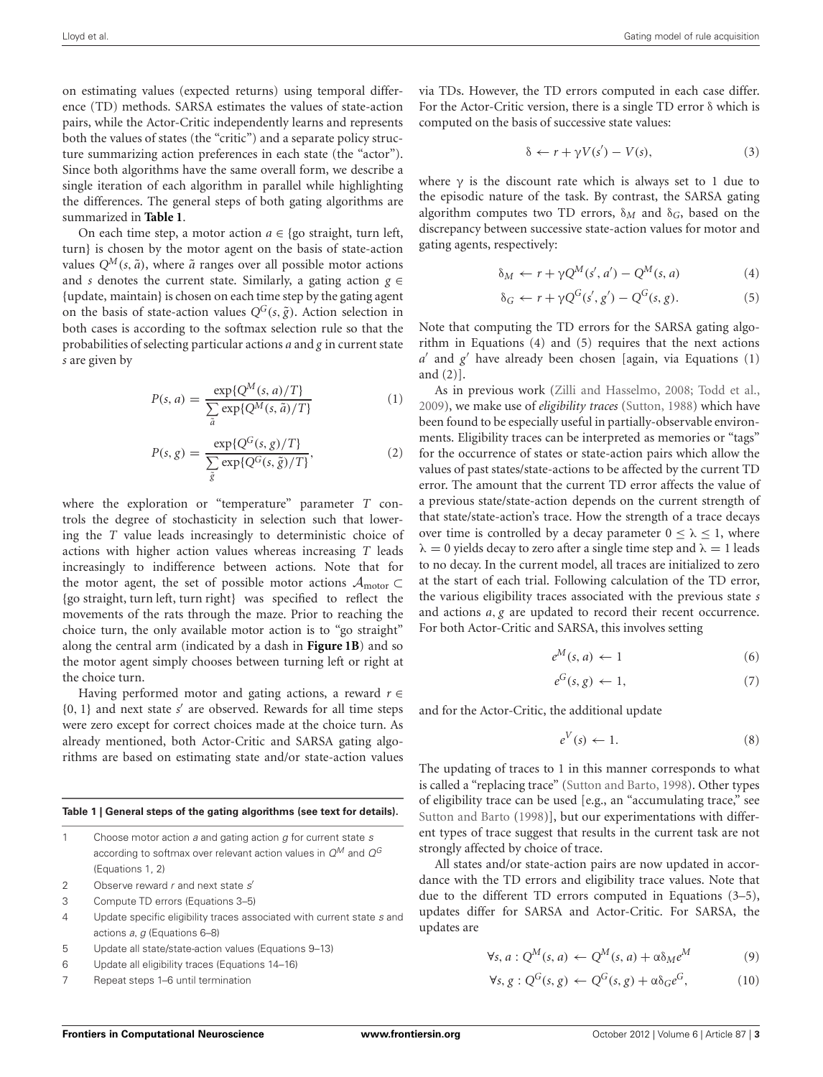on estimating values (expected returns) using temporal difference (TD) methods. SARSA estimates the values of state-action pairs, while the Actor-Critic independently learns and represents both the values of states (the "critic") and a separate policy structure summarizing action preferences in each state (the "actor"). Since both algorithms have the same overall form, we describe a single iteration of each algorithm in parallel while highlighting the differences. The general steps of both gating algorithms are summarized in **[Table 1](#page-2-0)**.

On each time step, a motor action  $a \in \{$ go straight, turn left, turn} is chosen by the motor agent on the basis of state-action values  $Q^M(s, \tilde{a})$ , where  $\tilde{a}$  ranges over all possible motor actions and *s* denotes the current state. Similarly, a gating action  $g \in$ {update, maintain} is chosen on each time step by the gating agent on the basis of state-action values  $Q^G(s, \tilde{g})$ . Action selection in both cases is according to the softmax selection rule so that the probabilities of selecting particular actions *a* and *g* in current state *s* are given by

$$
P(s, a) = \frac{\exp\{Q^M(s, a)/T\}}{\sum_{\tilde{a}} \exp\{Q^M(s, \tilde{a})/T\}}\tag{1}
$$

$$
P(s,g) = \frac{\exp\{Q^G(s,g)/T\}}{\sum_{\tilde{g}} \exp\{Q^G(s,\tilde{g})/T\}},
$$
\n(2)

where the exploration or "temperature" parameter *T* controls the degree of stochasticity in selection such that lowering the *T* value leads increasingly to deterministic choice of actions with higher action values whereas increasing *T* leads increasingly to indifference between actions. Note that for the motor agent, the set of possible motor actions *A*motor <sup>⊂</sup> {go straight, turn left, turn right} was specified to reflect the movements of the rats through the maze. Prior to reaching the choice turn, the only available motor action is to "go straight" along the central arm (indicated by a dash in **[Figure 1B](#page-1-0)**) and so the motor agent simply chooses between turning left or right at the choice turn.

Having performed motor and gating actions, a reward *r* ∈ {0, 1} and next state *s* are observed. Rewards for all time steps were zero except for correct choices made at the choice turn. As already mentioned, both Actor-Critic and SARSA gating algorithms are based on estimating state and/or state-action values

<span id="page-2-0"></span>

| Table 1   General steps of the gating algorithms (see text for details). |                                                                                                                                      |
|--------------------------------------------------------------------------|--------------------------------------------------------------------------------------------------------------------------------------|
| 1                                                                        | Choose motor action a and gating action q for current state s<br>according to softmax over relevant action values in $Q^M$ and $Q^G$ |
|                                                                          | (Equations 1, 2)                                                                                                                     |
| 2                                                                        | Observe reward r and next state s'                                                                                                   |
| 3                                                                        | Compute TD errors (Equations 3–5)                                                                                                    |
| 4                                                                        | Update specific eligibility traces associated with current state s and<br>actions a, q (Equations 6–8)                               |
| 5                                                                        | Update all state/state-action values (Equations 9-13)                                                                                |
| 6                                                                        | Update all eligibility traces (Equations 14–16)                                                                                      |

Repeat steps 1–6 until termination

via TDs. However, the TD errors computed in each case differ. For the Actor-Critic version, there is a single TD error δ which is computed on the basis of successive state values:

$$
\delta \leftarrow r + \gamma V(s') - V(s),\tag{3}
$$

where  $\gamma$  is the discount rate which is always set to 1 due to the episodic nature of the task. By contrast, the SARSA gating algorithm computes two TD errors,  $\delta_M$  and  $\delta_G$ , based on the discrepancy between successive state-action values for motor and gating agents, respectively:

$$
\delta_M \leftarrow r + \gamma Q^M(s', a') - Q^M(s, a) \tag{4}
$$

$$
\delta_G \leftarrow r + \gamma Q^G(s', g') - Q^G(s, g). \tag{5}
$$

Note that computing the TD errors for the SARSA gating algorithm in Equations (4) and (5) requires that the next actions  $a'$  and  $g'$  have already been chosen [again, via Equations  $(1)$ and (2)].

As in previous work [\(Zilli and Hasselmo, 2008](#page-9-6); [Todd et al.,](#page-9-5) [2009](#page-9-5)), we make use of *eligibility traces* [\(Sutton](#page-9-14), [1988](#page-9-14)) which have been found to be especially useful in partially-observable environments. Eligibility traces can be interpreted as memories or "tags" for the occurrence of states or state-action pairs which allow the values of past states/state-actions to be affected by the current TD error. The amount that the current TD error affects the value of a previous state/state-action depends on the current strength of that state/state-action's trace. How the strength of a trace decays over time is controlled by a decay parameter  $0 < \lambda < 1$ , where  $\lambda = 0$  yields decay to zero after a single time step and  $\lambda = 1$  leads to no decay. In the current model, all traces are initialized to zero at the start of each trial. Following calculation of the TD error, the various eligibility traces associated with the previous state *s* and actions *a*, *g* are updated to record their recent occurrence. For both Actor-Critic and SARSA, this involves setting

$$
e^M(s, a) \leftarrow 1 \tag{6}
$$

$$
e^G(s,g) \leftarrow 1,\tag{7}
$$

and for the Actor-Critic, the additional update

$$
e^V(s) \leftarrow 1. \tag{8}
$$

The updating of traces to 1 in this manner corresponds to what is called a "replacing trace" [\(Sutton and Barto, 1998](#page-9-13)). Other types of eligibility trace can be used [e.g., an "accumulating trace," see [Sutton and Barto](#page-9-13) [\(1998\)](#page-9-13)], but our experimentations with different types of trace suggest that results in the current task are not strongly affected by choice of trace.

All states and/or state-action pairs are now updated in accordance with the TD errors and eligibility trace values. Note that due to the different TD errors computed in Equations (3–5), updates differ for SARSA and Actor-Critic. For SARSA, the updates are

$$
\forall s, a: Q^M(s, a) \leftarrow Q^M(s, a) + \alpha \delta_M e^M \tag{9}
$$

$$
\forall s, g: Q^G(s, g) \leftarrow Q^G(s, g) + \alpha \delta_G e^G, \tag{10}
$$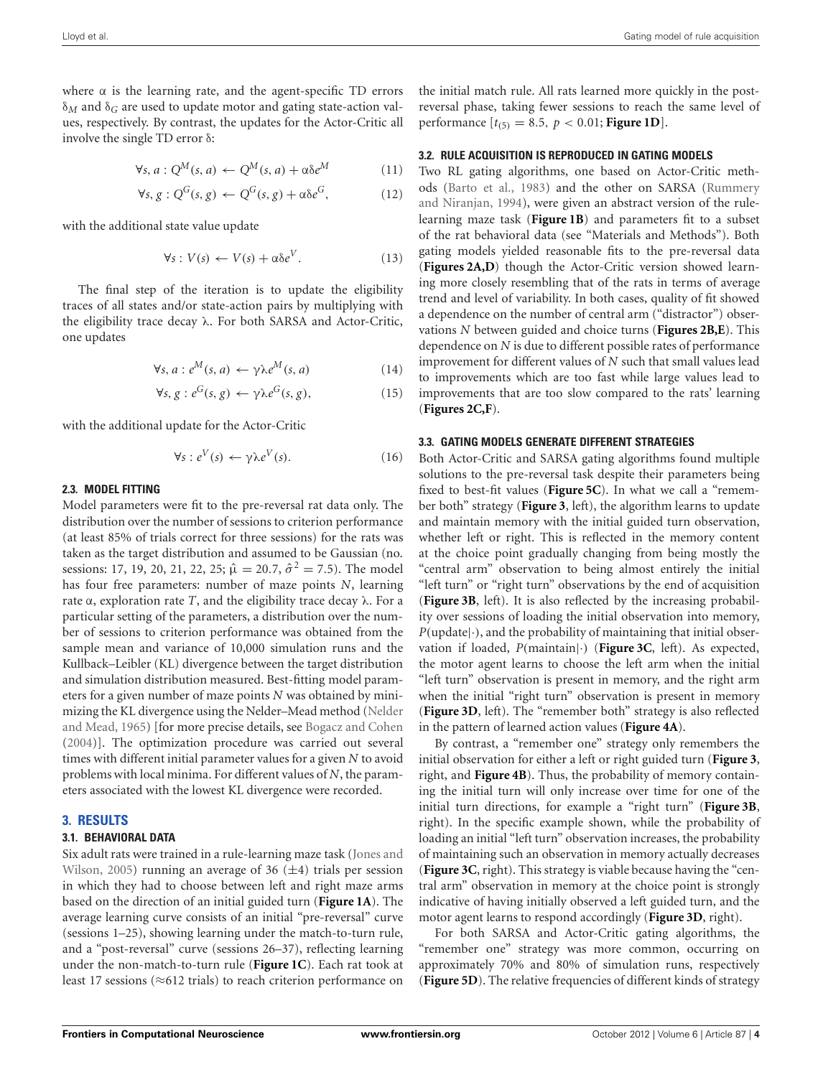where  $\alpha$  is the learning rate, and the agent-specific TD errors δ*<sup>M</sup>* and δ*<sup>G</sup>* are used to update motor and gating state-action values, respectively. By contrast, the updates for the Actor-Critic all involve the single TD error δ:

$$
\forall s, a: Q^M(s, a) \leftarrow Q^M(s, a) + \alpha \delta e^M \tag{11}
$$

$$
\forall s, g: Q^G(s, g) \leftarrow Q^G(s, g) + \alpha \delta e^G, \tag{12}
$$

with the additional state value update

$$
\forall s: V(s) \leftarrow V(s) + \alpha \delta e^V. \tag{13}
$$

The final step of the iteration is to update the eligibility traces of all states and/or state-action pairs by multiplying with the eligibility trace decay λ. For both SARSA and Actor-Critic, one updates

$$
\forall s, a : e^M(s, a) \leftarrow \gamma \lambda e^M(s, a) \tag{14}
$$

$$
\forall s, g : e^G(s, g) \leftarrow \gamma \lambda e^G(s, g), \tag{15}
$$

with the additional update for the Actor-Critic

$$
\forall s: e^V(s) \leftarrow \gamma \lambda e^V(s). \tag{16}
$$

#### **2.3. MODEL FITTING**

Model parameters were fit to the pre-reversal rat data only. The distribution over the number of sessions to criterion performance (at least 85% of trials correct for three sessions) for the rats was taken as the target distribution and assumed to be Gaussian (no. sessions: 17, 19, 20, 21, 22, 25;  $\hat{\mu} = 20.7$ ,  $\hat{\sigma}^2 = 7.5$ ). The model has four free parameters: number of maze points *N*, learning rate  $α$ , exploration rate *T*, and the eligibility trace decay  $λ$ . For a particular setting of the parameters, a distribution over the number of sessions to criterion performance was obtained from the sample mean and variance of 10,000 simulation runs and the Kullback–Leibler (KL) divergence between the target distribution and simulation distribution measured. Best-fitting model parameters for a given number of maze points *N* was obtained by minimizing th[e KL divergence using the Nelder–Mead method \(](#page-9-15)Nelder and Mead, [1965\)](#page-9-15) [for more precise details, see [Bogacz and Cohen](#page-9-16) [\(2004\)](#page-9-16)]. The optimization procedure was carried out several times with different initial parameter values for a given *N* to avoid problems with local minima. For different values of *N*, the parameters associated with the lowest KL divergence were recorded.

## **3. RESULTS**

## **3.1. BEHAVIORAL DATA**

Six ad[ult](#page-9-9) [rats](#page-9-9) [were](#page-9-9) [trained](#page-9-9) [in](#page-9-9) [a](#page-9-9) [rule-learning](#page-9-9) [maze](#page-9-9) [task](#page-9-9) [\(](#page-9-9)Jones and Wilson, [2005\)](#page-9-9) running an average of 36  $(\pm 4)$  trials per session in which they had to choose between left and right maze arms based on the direction of an initial guided turn (**[Figure 1A](#page-1-0)**). The average learning curve consists of an initial "pre-reversal" curve (sessions 1–25), showing learning under the match-to-turn rule, and a "post-reversal" curve (sessions 26–37), reflecting learning under the non-match-to-turn rule (**[Figure 1C](#page-1-0)**). Each rat took at least 17 sessions (≈612 trials) to reach criterion performance on

the initial match rule. All rats learned more quickly in the postreversal phase, taking fewer sessions to reach the same level of performance  $[t_{(5)} = 8.5, p < 0.01;$  **[Figure 1D](#page-1-0)**.

#### **3.2. RULE ACQUISITION IS REPRODUCED IN GATING MODELS**

Two RL gating algorithms, one based on Actor-Critic methods [\(Barto et al.](#page-9-11)[,](#page-9-12) [1983](#page-9-11)[\) and the other on SARSA \(](#page-9-12)Rummery and Niranjan, [1994\)](#page-9-12), were given an abstract version of the rulelearning maze task (**[Figure 1B](#page-1-0)**) and parameters fit to a subset of the rat behavioral data (see "Materials and Methods"). Both gating models yielded reasonable fits to the pre-reversal data (**[Figures 2A,D](#page-4-0)**) though the Actor-Critic version showed learning more closely resembling that of the rats in terms of average trend and level of variability. In both cases, quality of fit showed a dependence on the number of central arm ("distractor") observations *N* between guided and choice turns (**[Figures 2B,E](#page-4-0)**). This dependence on *N* is due to different possible rates of performance improvement for different values of *N* such that small values lead to improvements which are too fast while large values lead to improvements that are too slow compared to the rats' learning (**[Figures 2C,F](#page-4-0)**).

#### **3.3. GATING MODELS GENERATE DIFFERENT STRATEGIES**

Both Actor-Critic and SARSA gating algorithms found multiple solutions to the pre-reversal task despite their parameters being fixed to best-fit values (**[Figure 5C](#page-6-0)**). In what we call a "remember both" strategy (**[Figure 3](#page-5-0)**, left), the algorithm learns to update and maintain memory with the initial guided turn observation, whether left or right. This is reflected in the memory content at the choice point gradually changing from being mostly the "central arm" observation to being almost entirely the initial "left turn" or "right turn" observations by the end of acquisition (**[Figure 3B](#page-5-0)**, left). It is also reflected by the increasing probability over sessions of loading the initial observation into memory,  $P(\text{update}|\cdot)$ , and the probability of maintaining that initial observation if loaded, *P*(maintain|·) (**[Figure 3C](#page-5-0)**, left). As expected, the motor agent learns to choose the left arm when the initial "left turn" observation is present in memory, and the right arm when the initial "right turn" observation is present in memory (**[Figure 3D](#page-5-0)**, left). The "remember both" strategy is also reflected in the pattern of learned action values (**[Figure 4A](#page-6-1)**).

By contrast, a "remember one" strategy only remembers the initial observation for either a left or right guided turn (**[Figure 3](#page-5-0)**, right, and **[Figure 4B](#page-6-1)**). Thus, the probability of memory containing the initial turn will only increase over time for one of the initial turn directions, for example a "right turn" (**[Figure 3B](#page-5-0)**, right). In the specific example shown, while the probability of loading an initial "left turn" observation increases, the probability of maintaining such an observation in memory actually decreases (**[Figure 3C](#page-5-0)**, right). This strategy is viable because having the "central arm" observation in memory at the choice point is strongly indicative of having initially observed a left guided turn, and the motor agent learns to respond accordingly (**[Figure 3D](#page-5-0)**, right).

For both SARSA and Actor-Critic gating algorithms, the "remember one" strategy was more common, occurring on approximately 70% and 80% of simulation runs, respectively (**[Figure 5D](#page-6-0)**). The relative frequencies of different kinds of strategy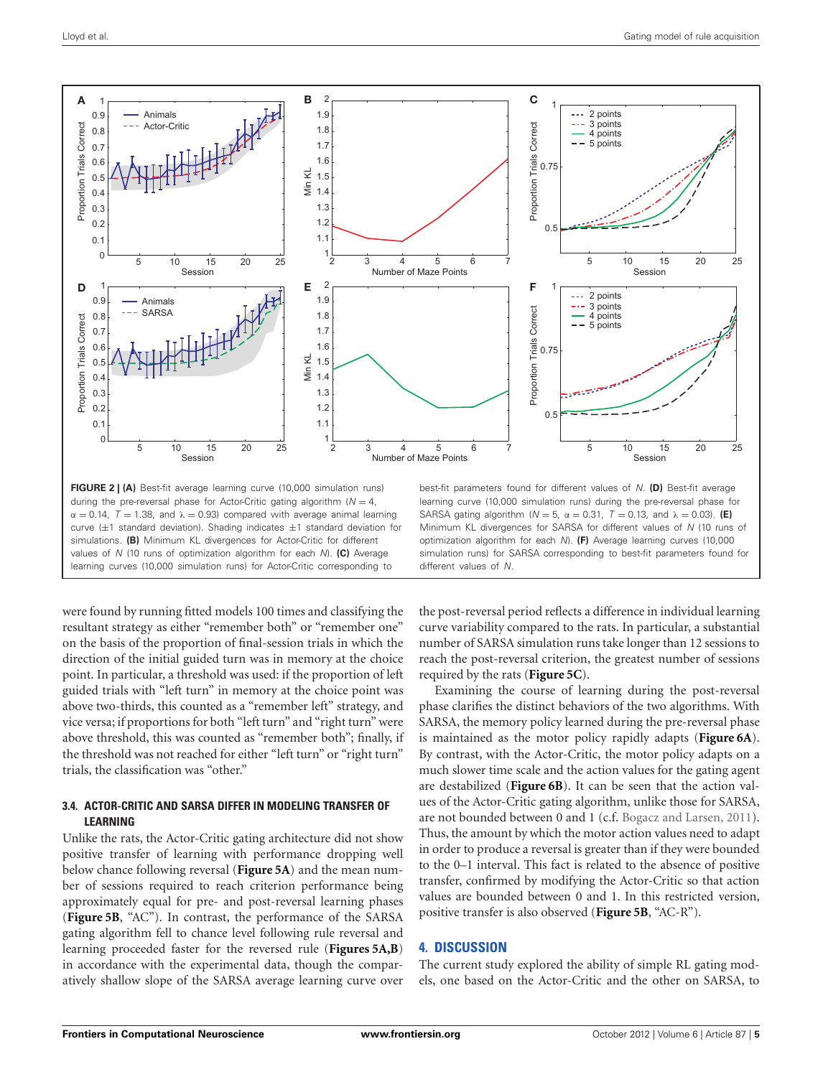

<span id="page-4-0"></span>were found by running fitted models 100 times and classifying the resultant strategy as either "remember both" or "remember one" on the basis of the proportion of final-session trials in which the direction of the initial guided turn was in memory at the choice point. In particular, a threshold was used: if the proportion of left guided trials with "left turn" in memory at the choice point was above two-thirds, this counted as a "remember left" strategy, and vice versa; if proportions for both "left turn" and "right turn" were above threshold, this was counted as "remember both"; finally, if the threshold was not reached for either "left turn" or "right turn" trials, the classification was "other."

# **3.4. ACTOR-CRITIC AND SARSA DIFFER IN MODELING TRANSFER OF LEARNING**

Unlike the rats, the Actor-Critic gating architecture did not show positive transfer of learning with performance dropping well below chance following reversal (**[Figure 5A](#page-6-0)**) and the mean number of sessions required to reach criterion performance being approximately equal for pre- and post-reversal learning phases (**[Figure 5B](#page-6-0)**, "AC"). In contrast, the performance of the SARSA gating algorithm fell to chance level following rule reversal and learning proceeded faster for the reversed rule (**[Figures 5A,B](#page-6-0)**) in accordance with the experimental data, though the comparatively shallow slope of the SARSA average learning curve over

the post-reversal period reflects a difference in individual learning curve variability compared to the rats. In particular, a substantial number of SARSA simulation runs take longer than 12 sessions to reach the post-reversal criterion, the greatest number of sessions required by the rats (**[Figure 5C](#page-6-0)**).

Examining the course of learning during the post-reversal phase clarifies the distinct behaviors of the two algorithms. With SARSA, the memory policy learned during the pre-reversal phase is maintained as the motor policy rapidly adapts (**[Figure 6A](#page-7-0)**). By contrast, with the Actor-Critic, the motor policy adapts on a much slower time scale and the action values for the gating agent are destabilized (**[Figure 6B](#page-7-0)**). It can be seen that the action values of the Actor-Critic gating algorithm, unlike those for SARSA, are not bounded between 0 and 1 (c.f. [Bogacz and Larsen](#page-9-17), [2011](#page-9-17)). Thus, the amount by which the motor action values need to adapt in order to produce a reversal is greater than if they were bounded to the 0–1 interval. This fact is related to the absence of positive transfer, confirmed by modifying the Actor-Critic so that action values are bounded between 0 and 1. In this restricted version, positive transfer is also observed (**[Figure 5B](#page-6-0)**, "AC-R").

# **4. DISCUSSION**

The current study explored the ability of simple RL gating models, one based on the Actor-Critic and the other on SARSA, to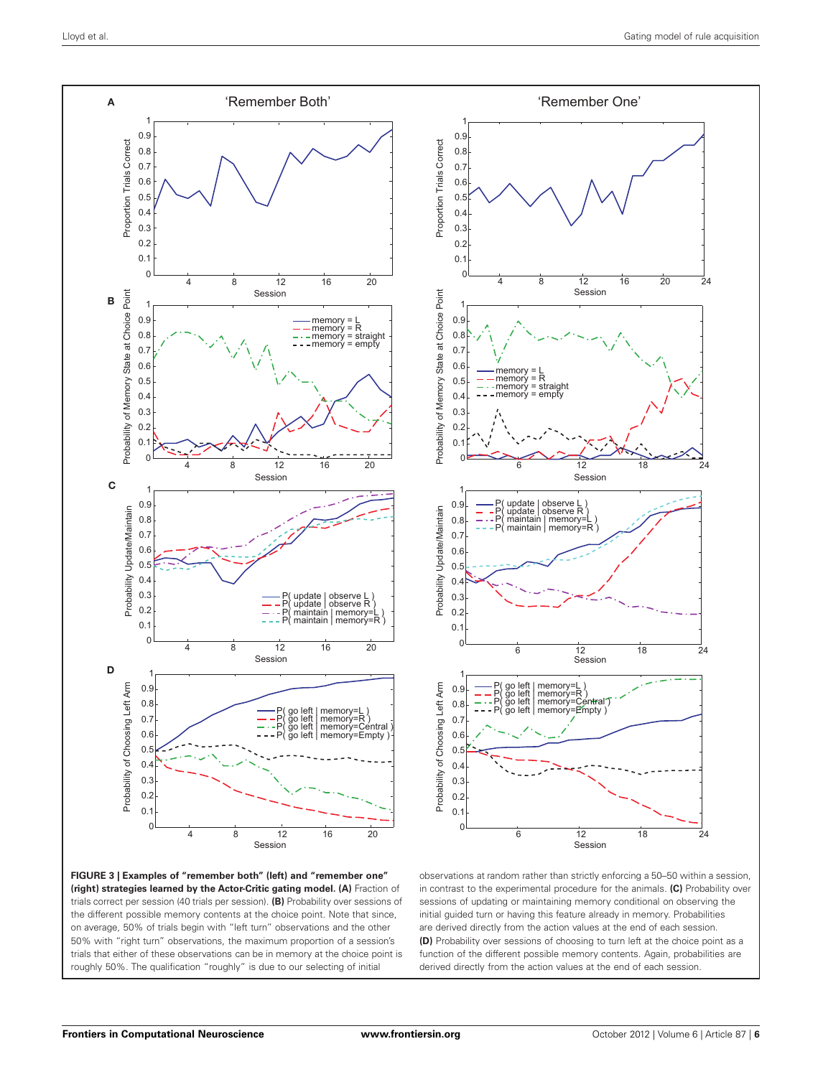

<span id="page-5-0"></span>



observations at random rather than strictly enforcing a 50–50 within a session, in contrast to the experimental procedure for the animals. **(C)** Probability over sessions of updating or maintaining memory conditional on observing the initial guided turn or having this feature already in memory. Probabilities are derived directly from the action values at the end of each session. **(D)** Probability over sessions of choosing to turn left at the choice point as a function of the different possible memory contents. Again, probabilities are derived directly from the action values at the end of each session.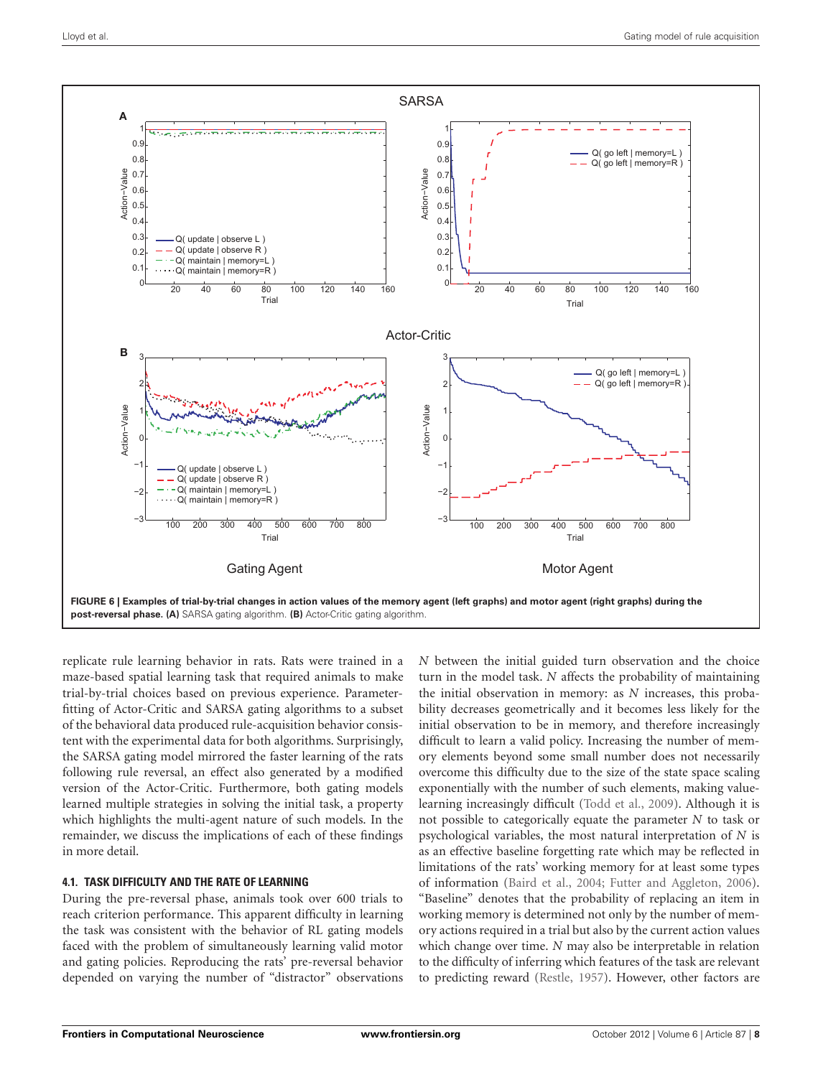

<span id="page-7-0"></span>replicate rule learning behavior in rats. Rats were trained in a maze-based spatial learning task that required animals to make trial-by-trial choices based on previous experience. Parameterfitting of Actor-Critic and SARSA gating algorithms to a subset of the behavioral data produced rule-acquisition behavior consistent with the experimental data for both algorithms. Surprisingly, the SARSA gating model mirrored the faster learning of the rats following rule reversal, an effect also generated by a modified version of the Actor-Critic. Furthermore, both gating models learned multiple strategies in solving the initial task, a property which highlights the multi-agent nature of such models. In the remainder, we discuss the implications of each of these findings in more detail.

# **4.1. TASK DIFFICULTY AND THE RATE OF LEARNING**

During the pre-reversal phase, animals took over 600 trials to reach criterion performance. This apparent difficulty in learning the task was consistent with the behavior of RL gating models faced with the problem of simultaneously learning valid motor and gating policies. Reproducing the rats' pre-reversal behavior depended on varying the number of "distractor" observations

*N* between the initial guided turn observation and the choice turn in the model task. *N* affects the probability of maintaining the initial observation in memory: as *N* increases, this probability decreases geometrically and it becomes less likely for the initial observation to be in memory, and therefore increasingly difficult to learn a valid policy. Increasing the number of memory elements beyond some small number does not necessarily overcome this difficulty due to the size of the state space scaling exponentially with the number of such elements, making valuelearning increasingly difficult [\(Todd et al., 2009](#page-9-5)). Although it is not possible to categorically equate the parameter *N* to task or psychological variables, the most natural interpretation of *N* is as an effective baseline forgetting rate which may be reflected in limitations of the rats' working memory for at least some types of information [\(Baird et al.](#page-9-18), [2004](#page-9-18); [Futter and Aggleton, 2006\)](#page-9-19). "Baseline" denotes that the probability of replacing an item in working memory is determined not only by the number of memory actions required in a trial but also by the current action values which change over time. *N* may also be interpretable in relation to the difficulty of inferring which features of the task are relevant to predicting reward [\(Restle](#page-9-20), [1957\)](#page-9-20). However, other factors are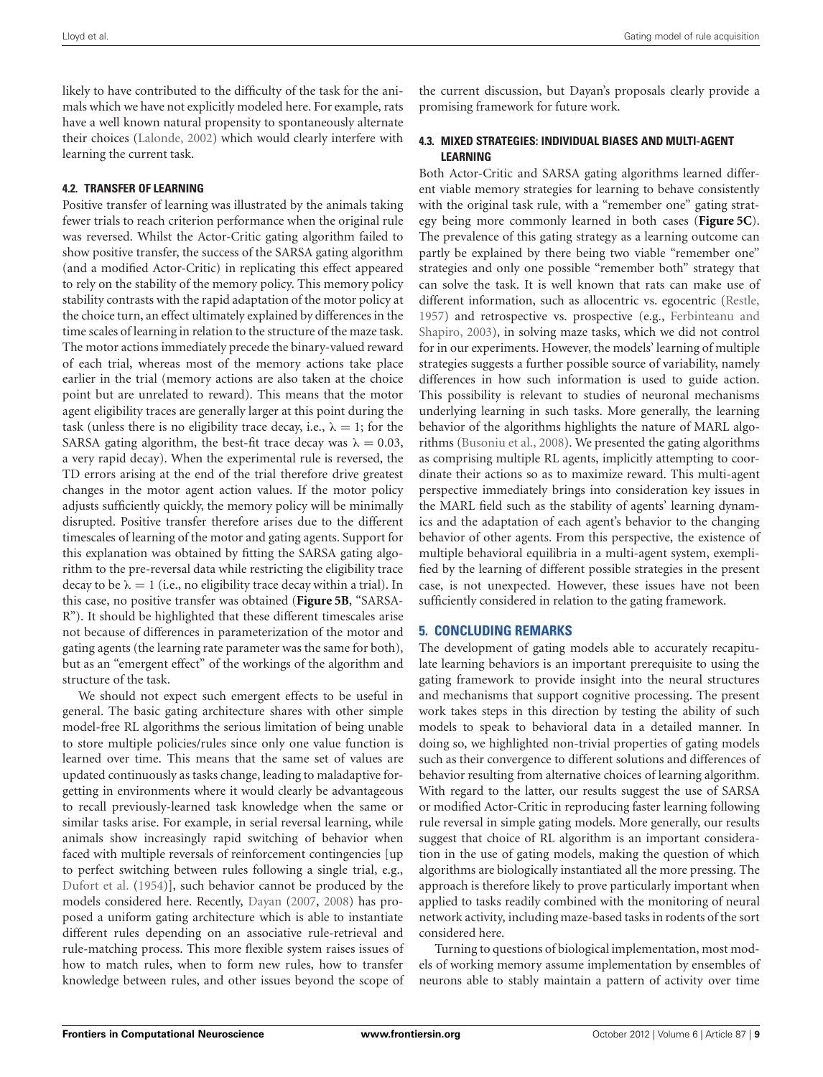likely to have contributed to the difficulty of the task for the animals which we have not explicitly modeled here. For example, rats have a well known natural propensity to spontaneously alternate their choices [\(Lalonde](#page-9-7), [2002\)](#page-9-7) which would clearly interfere with learning the current task.

# **4.2. TRANSFER OF LEARNING**

Positive transfer of learning was illustrated by the animals taking fewer trials to reach criterion performance when the original rule was reversed. Whilst the Actor-Critic gating algorithm failed to show positive transfer, the success of the SARSA gating algorithm (and a modified Actor-Critic) in replicating this effect appeared to rely on the stability of the memory policy. This memory policy stability contrasts with the rapid adaptation of the motor policy at the choice turn, an effect ultimately explained by differences in the time scales of learning in relation to the structure of the maze task. The motor actions immediately precede the binary-valued reward of each trial, whereas most of the memory actions take place earlier in the trial (memory actions are also taken at the choice point but are unrelated to reward). This means that the motor agent eligibility traces are generally larger at this point during the task (unless there is no eligibility trace decay, i.e.,  $\lambda = 1$ ; for the SARSA gating algorithm, the best-fit trace decay was  $\lambda = 0.03$ , a very rapid decay). When the experimental rule is reversed, the TD errors arising at the end of the trial therefore drive greatest changes in the motor agent action values. If the motor policy adjusts sufficiently quickly, the memory policy will be minimally disrupted. Positive transfer therefore arises due to the different timescales of learning of the motor and gating agents. Support for this explanation was obtained by fitting the SARSA gating algorithm to the pre-reversal data while restricting the eligibility trace decay to be  $\lambda = 1$  (i.e., no eligibility trace decay within a trial). In this case, no positive transfer was obtained (**[Figure 5B](#page-6-0)**, "SARSA-R"). It should be highlighted that these different timescales arise not because of differences in parameterization of the motor and gating agents (the learning rate parameter was the same for both), but as an "emergent effect" of the workings of the algorithm and structure of the task.

We should not expect such emergent effects to be useful in general. The basic gating architecture shares with other simple model-free RL algorithms the serious limitation of being unable to store multiple policies/rules since only one value function is learned over time. This means that the same set of values are updated continuously as tasks change, leading to maladaptive forgetting in environments where it would clearly be advantageous to recall previously-learned task knowledge when the same or similar tasks arise. For example, in serial reversal learning, while animals show increasingly rapid switching of behavior when faced with multiple reversals of reinforcement contingencies [up to perfect switching between rules following a single trial, e.g., [Dufort et al.](#page-9-21) [\(1954](#page-9-21))], such behavior cannot be produced by the models considered here. Recently, [Dayan](#page-9-22) [\(2007,](#page-9-22) [2008\)](#page-9-23) has proposed a uniform gating architecture which is able to instantiate different rules depending on an associative rule-retrieval and rule-matching process. This more flexible system raises issues of how to match rules, when to form new rules, how to transfer knowledge between rules, and other issues beyond the scope of

the current discussion, but Dayan's proposals clearly provide a promising framework for future work.

## **4.3. MIXED STRATEGIES: INDIVIDUAL BIASES AND MULTI-AGENT LEARNING**

Both Actor-Critic and SARSA gating algorithms learned different viable memory strategies for learning to behave consistently with the original task rule, with a "remember one" gating strategy being more commonly learned in both cases (**[Figure 5C](#page-6-0)**). The prevalence of this gating strategy as a learning outcome can partly be explained by there being two viable "remember one" strategies and only one possible "remember both" strategy that can solve the task. It is well known that rats can make use of different information, such as allocentric vs. egocentric [\(Restle](#page-9-20), [1957](#page-9-20)) [and retrospective vs. prospective \(e.g.,](#page-9-24) Ferbinteanu and Shapiro, [2003](#page-9-24)), in solving maze tasks, which we did not control for in our experiments. However, the models' learning of multiple strategies suggests a further possible source of variability, namely differences in how such information is used to guide action. This possibility is relevant to studies of neuronal mechanisms underlying learning in such tasks. More generally, the learning behavior of the algorithms highlights the nature of MARL algorithms [\(Busoniu et al., 2008](#page-9-10)). We presented the gating algorithms as comprising multiple RL agents, implicitly attempting to coordinate their actions so as to maximize reward. This multi-agent perspective immediately brings into consideration key issues in the MARL field such as the stability of agents' learning dynamics and the adaptation of each agent's behavior to the changing behavior of other agents. From this perspective, the existence of multiple behavioral equilibria in a multi-agent system, exemplified by the learning of different possible strategies in the present case, is not unexpected. However, these issues have not been sufficiently considered in relation to the gating framework.

# **5. CONCLUDING REMARKS**

The development of gating models able to accurately recapitulate learning behaviors is an important prerequisite to using the gating framework to provide insight into the neural structures and mechanisms that support cognitive processing. The present work takes steps in this direction by testing the ability of such models to speak to behavioral data in a detailed manner. In doing so, we highlighted non-trivial properties of gating models such as their convergence to different solutions and differences of behavior resulting from alternative choices of learning algorithm. With regard to the latter, our results suggest the use of SARSA or modified Actor-Critic in reproducing faster learning following rule reversal in simple gating models. More generally, our results suggest that choice of RL algorithm is an important consideration in the use of gating models, making the question of which algorithms are biologically instantiated all the more pressing. The approach is therefore likely to prove particularly important when applied to tasks readily combined with the monitoring of neural network activity, including maze-based tasks in rodents of the sort considered here.

Turning to questions of biological implementation, most models of working memory assume implementation by ensembles of neurons able to stably maintain a pattern of activity over time